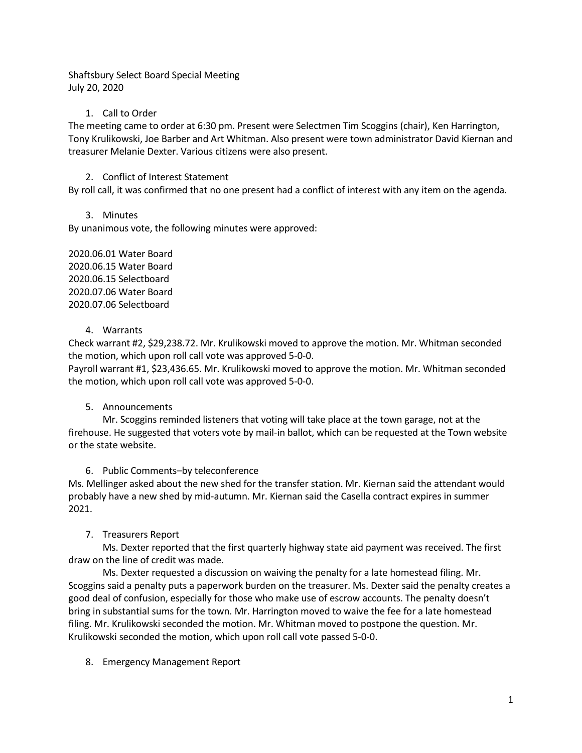Shaftsbury Select Board Special Meeting July 20, 2020

### 1. Call to Order

The meeting came to order at 6:30 pm. Present were Selectmen Tim Scoggins (chair), Ken Harrington, Tony Krulikowski, Joe Barber and Art Whitman. Also present were town administrator David Kiernan and treasurer Melanie Dexter. Various citizens were also present.

## 2. Conflict of Interest Statement

By roll call, it was confirmed that no one present had a conflict of interest with any item on the agenda.

3. Minutes

By unanimous vote, the following minutes were approved:

2020.06.01 Water Board 2020.06.15 Water Board 2020.06.15 Selectboard 2020.07.06 Water Board 2020.07.06 Selectboard

### 4. Warrants

Check warrant #2, \$29,238.72. Mr. Krulikowski moved to approve the motion. Mr. Whitman seconded the motion, which upon roll call vote was approved 5-0-0.

Payroll warrant #1, \$23,436.65. Mr. Krulikowski moved to approve the motion. Mr. Whitman seconded the motion, which upon roll call vote was approved 5-0-0.

# 5. Announcements

Mr. Scoggins reminded listeners that voting will take place at the town garage, not at the firehouse. He suggested that voters vote by mail-in ballot, which can be requested at the Town website or the state website.

# 6. Public Comments–by teleconference

Ms. Mellinger asked about the new shed for the transfer station. Mr. Kiernan said the attendant would probably have a new shed by mid-autumn. Mr. Kiernan said the Casella contract expires in summer 2021.

# 7. Treasurers Report

Ms. Dexter reported that the first quarterly highway state aid payment was received. The first draw on the line of credit was made.

Ms. Dexter requested a discussion on waiving the penalty for a late homestead filing. Mr. Scoggins said a penalty puts a paperwork burden on the treasurer. Ms. Dexter said the penalty creates a good deal of confusion, especially for those who make use of escrow accounts. The penalty doesn't bring in substantial sums for the town. Mr. Harrington moved to waive the fee for a late homestead filing. Mr. Krulikowski seconded the motion. Mr. Whitman moved to postpone the question. Mr. Krulikowski seconded the motion, which upon roll call vote passed 5-0-0.

8. Emergency Management Report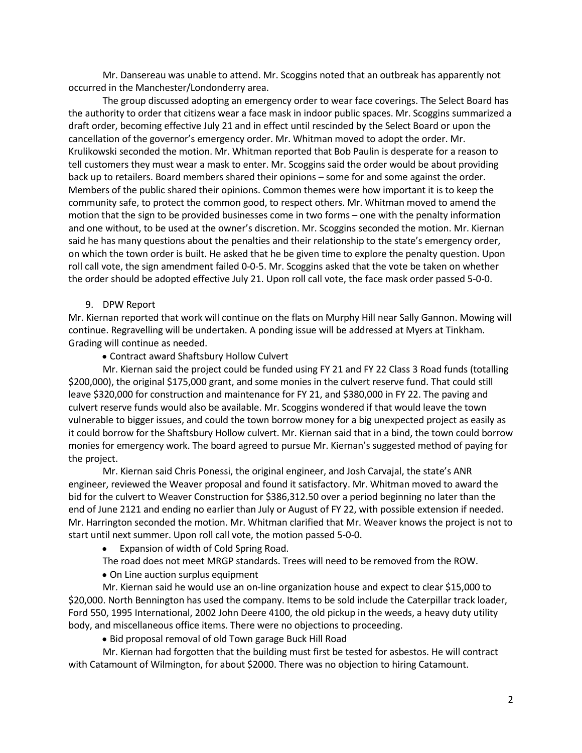Mr. Dansereau was unable to attend. Mr. Scoggins noted that an outbreak has apparently not occurred in the Manchester/Londonderry area.

The group discussed adopting an emergency order to wear face coverings. The Select Board has the authority to order that citizens wear a face mask in indoor public spaces. Mr. Scoggins summarized a draft order, becoming effective July 21 and in effect until rescinded by the Select Board or upon the cancellation of the governor's emergency order. Mr. Whitman moved to adopt the order. Mr. Krulikowski seconded the motion. Mr. Whitman reported that Bob Paulin is desperate for a reason to tell customers they must wear a mask to enter. Mr. Scoggins said the order would be about providing back up to retailers. Board members shared their opinions – some for and some against the order. Members of the public shared their opinions. Common themes were how important it is to keep the community safe, to protect the common good, to respect others. Mr. Whitman moved to amend the motion that the sign to be provided businesses come in two forms – one with the penalty information and one without, to be used at the owner's discretion. Mr. Scoggins seconded the motion. Mr. Kiernan said he has many questions about the penalties and their relationship to the state's emergency order, on which the town order is built. He asked that he be given time to explore the penalty question. Upon roll call vote, the sign amendment failed 0-0-5. Mr. Scoggins asked that the vote be taken on whether the order should be adopted effective July 21. Upon roll call vote, the face mask order passed 5-0-0.

#### 9. DPW Report

Mr. Kiernan reported that work will continue on the flats on Murphy Hill near Sally Gannon. Mowing will continue. Regravelling will be undertaken. A ponding issue will be addressed at Myers at Tinkham. Grading will continue as needed.

• Contract award Shaftsbury Hollow Culvert

Mr. Kiernan said the project could be funded using FY 21 and FY 22 Class 3 Road funds (totalling \$200,000), the original \$175,000 grant, and some monies in the culvert reserve fund. That could still leave \$320,000 for construction and maintenance for FY 21, and \$380,000 in FY 22. The paving and culvert reserve funds would also be available. Mr. Scoggins wondered if that would leave the town vulnerable to bigger issues, and could the town borrow money for a big unexpected project as easily as it could borrow for the Shaftsbury Hollow culvert. Mr. Kiernan said that in a bind, the town could borrow monies for emergency work. The board agreed to pursue Mr. Kiernan's suggested method of paying for the project.

Mr. Kiernan said Chris Ponessi, the original engineer, and Josh Carvajal, the state's ANR engineer, reviewed the Weaver proposal and found it satisfactory. Mr. Whitman moved to award the bid for the culvert to Weaver Construction for \$386,312.50 over a period beginning no later than the end of June 2121 and ending no earlier than July or August of FY 22, with possible extension if needed. Mr. Harrington seconded the motion. Mr. Whitman clarified that Mr. Weaver knows the project is not to start until next summer. Upon roll call vote, the motion passed 5-0-0.

- Expansion of width of Cold Spring Road.
- The road does not meet MRGP standards. Trees will need to be removed from the ROW.
- On Line auction surplus equipment

Mr. Kiernan said he would use an on-line organization house and expect to clear \$15,000 to \$20,000. North Bennington has used the company. Items to be sold include the Caterpillar track loader, Ford 550, 1995 International, 2002 John Deere 4100, the old pickup in the weeds, a heavy duty utility body, and miscellaneous office items. There were no objections to proceeding.

• Bid proposal removal of old Town garage Buck Hill Road

Mr. Kiernan had forgotten that the building must first be tested for asbestos. He will contract with Catamount of Wilmington, for about \$2000. There was no objection to hiring Catamount.